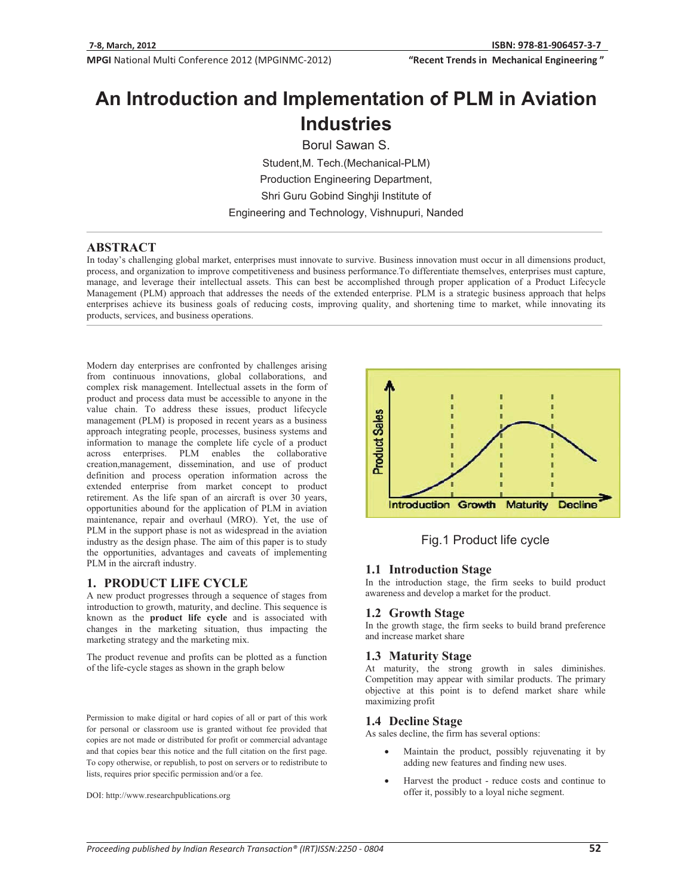"Recent Trends in Mechanical Engineering"

# **An Introduction and Implementation of PLM in Aviation Industries**

Borul Sawan S. Student,M. Tech.(Mechanical-PLM) Production Engineering Department, Shri Guru Gobind Singhji Institute of Engineering and Technology, Vishnupuri, Nanded

### **ABSTRACT**

In today's challenging global market, enterprises must innovate to survive. Business innovation must occur in all dimensions product, process, and organization to improve competitiveness and business performance.To differentiate themselves, enterprises must capture, manage, and leverage their intellectual assets. This can best be accomplished through proper application of a Product Lifecycle Management (PLM) approach that addresses the needs of the extended enterprise. PLM is a strategic business approach that helps enterprises achieve its business goals of reducing costs, improving quality, and shortening time to market, while innovating its products, services, and business operations.

Modern day enterprises are confronted by challenges arising from continuous innovations, global collaborations, and complex risk management. Intellectual assets in the form of product and process data must be accessible to anyone in the value chain. To address these issues, product lifecycle management (PLM) is proposed in recent years as a business approach integrating people, processes, business systems and information to manage the complete life cycle of a product across enterprises. PLM enables the collaborative creation,management, dissemination, and use of product definition and process operation information across the extended enterprise from market concept to product retirement. As the life span of an aircraft is over 30 years, opportunities abound for the application of PLM in aviation maintenance, repair and overhaul (MRO). Yet, the use of PLM in the support phase is not as widespread in the aviation industry as the design phase. The aim of this paper is to study the opportunities, advantages and caveats of implementing PLM in the aircraft industry.

## **1. PRODUCT LIFE CYCLE**

A new product progresses through a sequence of stages from introduction to growth, maturity, and decline. This sequence is known as the **product life cycle** and is associated with changes in the marketing situation, thus impacting the marketing strategy and the marketing mix.

The product revenue and profits can be plotted as a function of the life-cycle stages as shown in the graph below

Permission to make digital or hard copies of all or part of this work for personal or classroom use is granted without fee provided that copies are not made or distributed for profit or commercial advantage and that copies bear this notice and the full citation on the first page. To copy otherwise, or republish, to post on servers or to redistribute to lists, requires prior specific permission and/or a fee.

DOI: http://www.researchpublications.org



Fig.1 Product life cycle

## **1.1 Introduction Stage**

In the introduction stage, the firm seeks to build product awareness and develop a market for the product.

## **1.2 Growth Stage**

In the growth stage, the firm seeks to build brand preference and increase market share

## **1.3 Maturity Stage**

At maturity, the strong growth in sales diminishes. Competition may appear with similar products. The primary objective at this point is to defend market share while maximizing profit

## **1.4 Decline Stage**

As sales decline, the firm has several options:

- - Maintain the product, possibly rejuvenating it by adding new features and finding new uses.
- - Harvest the product - reduce costs and continue to offer it, possibly to a loyal niche segment.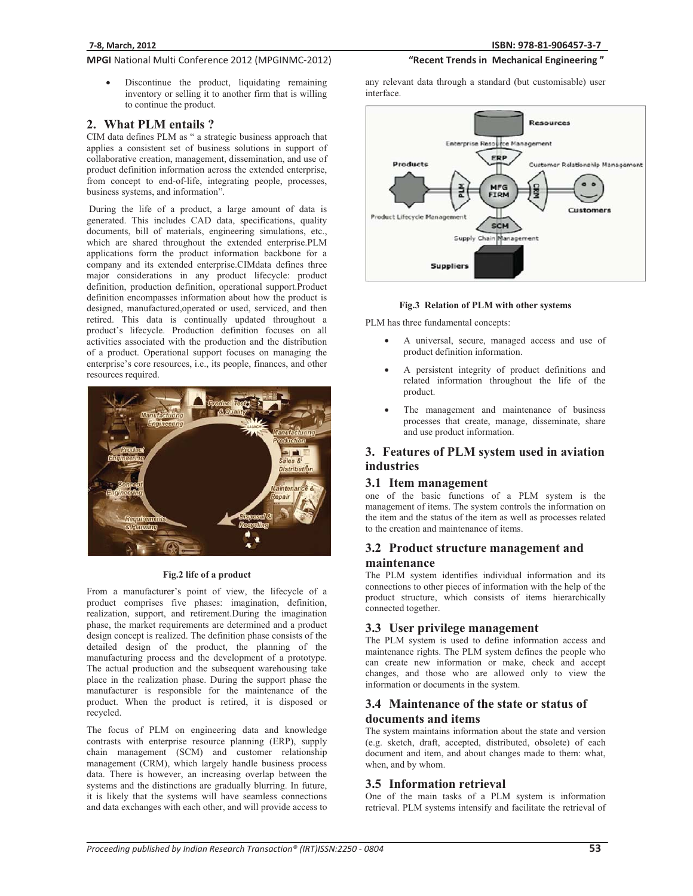- Discontinue the product, liquidating remaining inventory or selling it to another firm that is willing to continue the product.

## **2. What PLM entails ?**

CIM data defines PLM as " a strategic business approach that applies a consistent set of business solutions in support of collaborative creation, management, dissemination, and use of product definition information across the extended enterprise, from concept to end-of-life, integrating people, processes, business systems, and information".

 During the life of a product, a large amount of data is generated. This includes CAD data, specifications, quality documents, bill of materials, engineering simulations, etc., which are shared throughout the extended enterprise.PLM applications form the product information backbone for a company and its extended enterprise.CIMdata defines three major considerations in any product lifecycle: product definition, production definition, operational support.Product definition encompasses information about how the product is designed, manufactured,operated or used, serviced, and then retired. This data is continually updated throughout a product's lifecycle. Production definition focuses on all activities associated with the production and the distribution of a product. Operational support focuses on managing the enterprise's core resources, i.e., its people, finances, and other resources required.



#### **Fig.2 life of a product**

From a manufacturer's point of view, the lifecycle of a product comprises five phases: imagination, definition, realization, support, and retirement.During the imagination phase, the market requirements are determined and a product design concept is realized. The definition phase consists of the detailed design of the product, the planning of the manufacturing process and the development of a prototype. The actual production and the subsequent warehousing take place in the realization phase. During the support phase the manufacturer is responsible for the maintenance of the product. When the product is retired, it is disposed or recycled.

The focus of PLM on engineering data and knowledge contrasts with enterprise resource planning (ERP), supply chain management (SCM) and customer relationship management (CRM), which largely handle business process data. There is however, an increasing overlap between the systems and the distinctions are gradually blurring. In future, it is likely that the systems will have seamless connections and data exchanges with each other, and will provide access to

## "Recent Trends in Mechanical Engineering"

any relevant data through a standard (but customisable) user interface.



#### **Fig.3 Relation of PLM with other systems**

PLM has three fundamental concepts:

- - A universal, secure, managed access and use of product definition information.
- - A persistent integrity of product definitions and related information throughout the life of the product.
- - The management and maintenance of business processes that create, manage, disseminate, share and use product information.

## **3. Features of PLM system used in aviation industries**

#### **3.1 Item management**

one of the basic functions of a PLM system is the management of items. The system controls the information on the item and the status of the item as well as processes related to the creation and maintenance of items.

## **3.2 Product structure management and maintenance**

The PLM system identifies individual information and its connections to other pieces of information with the help of the product structure, which consists of items hierarchically connected together.

## **3.3 User privilege management**

The PLM system is used to define information access and maintenance rights. The PLM system defines the people who can create new information or make, check and accept changes, and those who are allowed only to view the information or documents in the system.

## **3.4 Maintenance of the state or status of documents and items**

The system maintains information about the state and version (e.g. sketch, draft, accepted, distributed, obsolete) of each document and item, and about changes made to them: what, when, and by whom.

## **3.5 Information retrieval**

One of the main tasks of a PLM system is information retrieval. PLM systems intensify and facilitate the retrieval of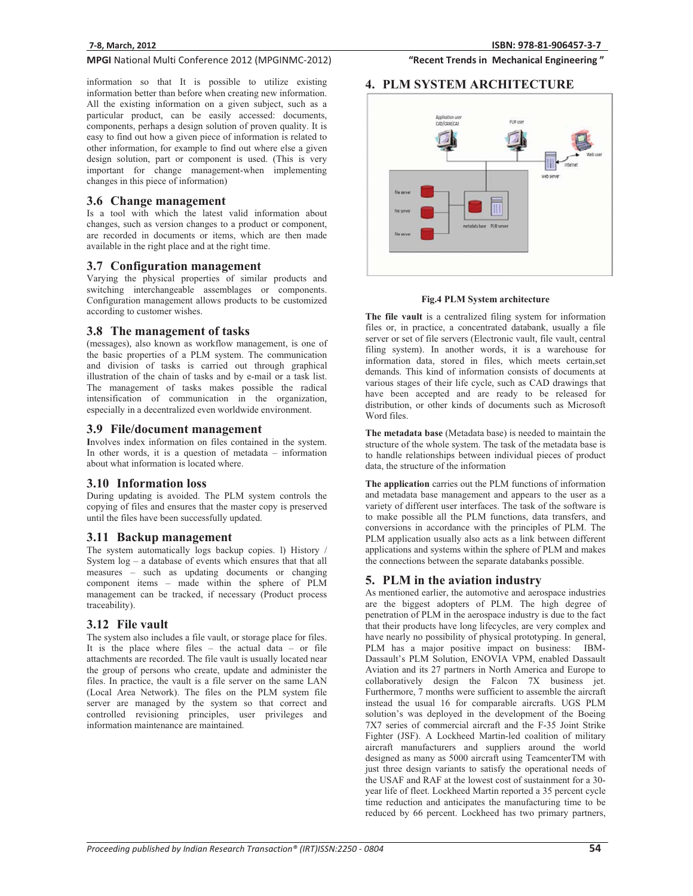information so that It is possible to utilize existing information better than before when creating new information. All the existing information on a given subject, such as a particular product, can be easily accessed: documents, components, perhaps a design solution of proven quality. It is easy to find out how a given piece of information is related to other information, for example to find out where else a given design solution, part or component is used. (This is very important for change management-when implementing changes in this piece of information)

#### **3.6 Change management**

Is a tool with which the latest valid information about changes, such as version changes to a product or component, are recorded in documents or items, which are then made available in the right place and at the right time.

#### **3.7 Configuration management**

Varying the physical properties of similar products and switching interchangeable assemblages or components. Configuration management allows products to be customized according to customer wishes.

#### **3.8 The management of tasks**

(messages), also known as workflow management, is one of the basic properties of a PLM system. The communication and division of tasks is carried out through graphical illustration of the chain of tasks and by e-mail or a task list. The management of tasks makes possible the radical intensification of communication in the organization, especially in a decentralized even worldwide environment.

#### **3.9 File/document management**

**I**nvolves index information on files contained in the system. In other words, it is a question of metadata – information about what information is located where.

#### **3.10 Information loss**

During updating is avoided. The PLM system controls the copying of files and ensures that the master copy is preserved until the files have been successfully updated.

#### **3.11 Backup management**

The system automatically logs backup copies. l) History / System log – a database of events which ensures that that all measures – such as updating documents or changing component items – made within the sphere of PLM management can be tracked, if necessary (Product process traceability).

#### **3.12 File vault**

The system also includes a file vault, or storage place for files. It is the place where files – the actual data – or file attachments are recorded. The file vault is usually located near the group of persons who create, update and administer the files. In practice, the vault is a file server on the same LAN (Local Area Network). The files on the PLM system file server are managed by the system so that correct and controlled revisioning principles, user privileges and information maintenance are maintained.

## "Recent Trends in Mechanical Engineering"

## **4. PLM SYSTEM ARCHITECTURE**



#### **Fig.4 PLM System architecture**

**The file vault** is a centralized filing system for information files or, in practice, a concentrated databank, usually a file server or set of file servers (Electronic vault, file vault, central filing system). In another words, it is a warehouse for information data, stored in files, which meets certain,set demands. This kind of information consists of documents at various stages of their life cycle, such as CAD drawings that have been accepted and are ready to be released for distribution, or other kinds of documents such as Microsoft Word files.

**The metadata base** (Metadata base) is needed to maintain the structure of the whole system. The task of the metadata base is to handle relationships between individual pieces of product data, the structure of the information

**The application** carries out the PLM functions of information and metadata base management and appears to the user as a variety of different user interfaces. The task of the software is to make possible all the PLM functions, data transfers, and conversions in accordance with the principles of PLM. The PLM application usually also acts as a link between different applications and systems within the sphere of PLM and makes the connections between the separate databanks possible.

#### **5. PLM in the aviation industry**

As mentioned earlier, the automotive and aerospace industries are the biggest adopters of PLM. The high degree of penetration of PLM in the aerospace industry is due to the fact that their products have long lifecycles, are very complex and have nearly no possibility of physical prototyping. In general, PLM has a major positive impact on business: IBM-Dassault's PLM Solution, ENOVIA VPM, enabled Dassault Aviation and its 27 partners in North America and Europe to collaboratively design the Falcon 7X business jet. Furthermore, 7 months were sufficient to assemble the aircraft instead the usual 16 for comparable aircrafts. UGS PLM solution's was deployed in the development of the Boeing 7X7 series of commercial aircraft and the F-35 Joint Strike Fighter (JSF). A Lockheed Martin-led coalition of military aircraft manufacturers and suppliers around the world designed as many as 5000 aircraft using TeamcenterTM with just three design variants to satisfy the operational needs of the USAF and RAF at the lowest cost of sustainment for a 30 year life of fleet. Lockheed Martin reported a 35 percent cycle time reduction and anticipates the manufacturing time to be reduced by 66 percent. Lockheed has two primary partners,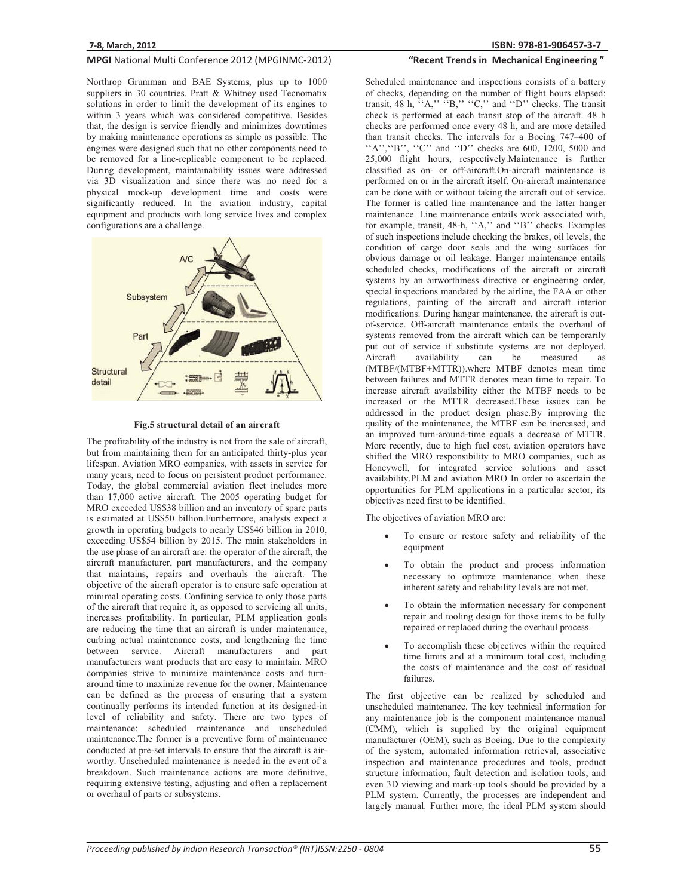Northrop Grumman and BAE Systems, plus up to 1000 suppliers in 30 countries. Pratt & Whitney used Tecnomatix solutions in order to limit the development of its engines to within 3 years which was considered competitive. Besides that, the design is service friendly and minimizes downtimes by making maintenance operations as simple as possible. The engines were designed such that no other components need to be removed for a line-replicable component to be replaced. During development, maintainability issues were addressed via 3D visualization and since there was no need for a physical mock-up development time and costs were significantly reduced. In the aviation industry, capital equipment and products with long service lives and complex configurations are a challenge.



#### **Fig.5 structural detail of an aircraft**

The profitability of the industry is not from the sale of aircraft, but from maintaining them for an anticipated thirty-plus year lifespan. Aviation MRO companies, with assets in service for many years, need to focus on persistent product performance. Today, the global commercial aviation fleet includes more than 17,000 active aircraft. The 2005 operating budget for MRO exceeded US\$38 billion and an inventory of spare parts is estimated at US\$50 billion.Furthermore, analysts expect a growth in operating budgets to nearly US\$46 billion in 2010, exceeding US\$54 billion by 2015. The main stakeholders in the use phase of an aircraft are: the operator of the aircraft, the aircraft manufacturer, part manufacturers, and the company that maintains, repairs and overhauls the aircraft. The objective of the aircraft operator is to ensure safe operation at minimal operating costs. Confining service to only those parts of the aircraft that require it, as opposed to servicing all units, increases profitability. In particular, PLM application goals are reducing the time that an aircraft is under maintenance, curbing actual maintenance costs, and lengthening the time between service. Aircraft manufacturers and part manufacturers want products that are easy to maintain. MRO companies strive to minimize maintenance costs and turnaround time to maximize revenue for the owner. Maintenance can be defined as the process of ensuring that a system continually performs its intended function at its designed-in level of reliability and safety. There are two types of maintenance: scheduled maintenance and unscheduled maintenance.The former is a preventive form of maintenance conducted at pre-set intervals to ensure that the aircraft is airworthy. Unscheduled maintenance is needed in the event of a breakdown. Such maintenance actions are more definitive, requiring extensive testing, adjusting and often a replacement or overhaul of parts or subsystems.

## "Recent Trends in Mechanical Engineering"

Scheduled maintenance and inspections consists of a battery of checks, depending on the number of flight hours elapsed: transit, 48 h,  $(A, B, B, C, C, C, C, C)$  and  $(B, C, C)$  checks. The transit check is performed at each transit stop of the aircraft. 48 h checks are performed once every 48 h, and are more detailed than transit checks. The intervals for a Boeing 747–400 of "A", "B", "C" and "D" checks are 600, 1200, 5000 and 25,000 flight hours, respectively.Maintenance is further classified as on- or off-aircraft.On-aircraft maintenance is performed on or in the aircraft itself. On-aircraft maintenance can be done with or without taking the aircraft out of service. The former is called line maintenance and the latter hanger maintenance. Line maintenance entails work associated with, for example, transit, 48-h, ''A,'' and ''B'' checks. Examples of such inspections include checking the brakes, oil levels, the condition of cargo door seals and the wing surfaces for obvious damage or oil leakage. Hanger maintenance entails scheduled checks, modifications of the aircraft or aircraft systems by an airworthiness directive or engineering order, special inspections mandated by the airline, the FAA or other regulations, painting of the aircraft and aircraft interior modifications. During hangar maintenance, the aircraft is outof-service. Off-aircraft maintenance entails the overhaul of systems removed from the aircraft which can be temporarily put out of service if substitute systems are not deployed. Aircraft availability can be measured as (MTBF/(MTBF+MTTR)).where MTBF denotes mean time between failures and MTTR denotes mean time to repair. To increase aircraft availability either the MTBF needs to be increased or the MTTR decreased.These issues can be addressed in the product design phase.By improving the quality of the maintenance, the MTBF can be increased, and an improved turn-around-time equals a decrease of MTTR. More recently, due to high fuel cost, aviation operators have shifted the MRO responsibility to MRO companies, such as Honeywell, for integrated service solutions and asset availability.PLM and aviation MRO In order to ascertain the opportunities for PLM applications in a particular sector, its objectives need first to be identified.

The objectives of aviation MRO are:

- - To ensure or restore safety and reliability of the equipment
- - To obtain the product and process information necessary to optimize maintenance when these inherent safety and reliability levels are not met.
- - To obtain the information necessary for component repair and tooling design for those items to be fully repaired or replaced during the overhaul process.
- - To accomplish these objectives within the required time limits and at a minimum total cost, including the costs of maintenance and the cost of residual failures.

The first objective can be realized by scheduled and unscheduled maintenance. The key technical information for any maintenance job is the component maintenance manual (CMM), which is supplied by the original equipment manufacturer (OEM), such as Boeing. Due to the complexity of the system, automated information retrieval, associative inspection and maintenance procedures and tools, product structure information, fault detection and isolation tools, and even 3D viewing and mark-up tools should be provided by a PLM system. Currently, the processes are independent and largely manual. Further more, the ideal PLM system should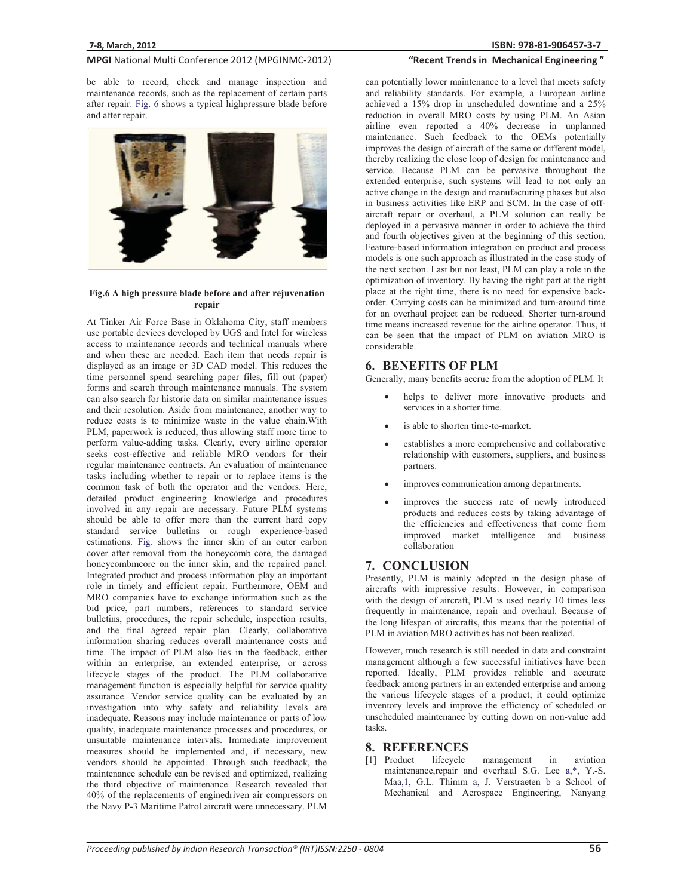be able to record, check and manage inspection and maintenance records, such as the replacement of certain parts after repair. Fig. 6 shows a typical highpressure blade before and after repair.



#### **Fig.6 A high pressure blade before and after rejuvenation repair**

At Tinker Air Force Base in Oklahoma City, staff members use portable devices developed by UGS and Intel for wireless access to maintenance records and technical manuals where and when these are needed. Each item that needs repair is displayed as an image or 3D CAD model. This reduces the time personnel spend searching paper files, fill out (paper) forms and search through maintenance manuals. The system can also search for historic data on similar maintenance issues and their resolution. Aside from maintenance, another way to reduce costs is to minimize waste in the value chain.With PLM, paperwork is reduced, thus allowing staff more time to perform value-adding tasks. Clearly, every airline operator seeks cost-effective and reliable MRO vendors for their regular maintenance contracts. An evaluation of maintenance tasks including whether to repair or to replace items is the common task of both the operator and the vendors. Here, detailed product engineering knowledge and procedures involved in any repair are necessary. Future PLM systems should be able to offer more than the current hard copy standard service bulletins or rough experience-based estimations. Fig. shows the inner skin of an outer carbon cover after removal from the honeycomb core, the damaged honeycombmcore on the inner skin, and the repaired panel. Integrated product and process information play an important role in timely and efficient repair. Furthermore, OEM and MRO companies have to exchange information such as the bid price, part numbers, references to standard service bulletins, procedures, the repair schedule, inspection results, and the final agreed repair plan. Clearly, collaborative information sharing reduces overall maintenance costs and time. The impact of PLM also lies in the feedback, either within an enterprise, an extended enterprise, or across lifecycle stages of the product. The PLM collaborative management function is especially helpful for service quality assurance. Vendor service quality can be evaluated by an investigation into why safety and reliability levels are inadequate. Reasons may include maintenance or parts of low quality, inadequate maintenance processes and procedures, or unsuitable maintenance intervals. Immediate improvement measures should be implemented and, if necessary, new vendors should be appointed. Through such feedback, the maintenance schedule can be revised and optimized, realizing the third objective of maintenance. Research revealed that 40% of the replacements of enginedriven air compressors on the Navy P-3 Maritime Patrol aircraft were unnecessary. PLM

## "Recent Trends in Mechanical Engineering"

can potentially lower maintenance to a level that meets safety and reliability standards. For example, a European airline achieved a 15% drop in unscheduled downtime and a 25% reduction in overall MRO costs by using PLM. An Asian airline even reported a 40% decrease in unplanned maintenance. Such feedback to the OEMs potentially improves the design of aircraft of the same or different model, thereby realizing the close loop of design for maintenance and service. Because PLM can be pervasive throughout the extended enterprise, such systems will lead to not only an active change in the design and manufacturing phases but also in business activities like ERP and SCM. In the case of offaircraft repair or overhaul, a PLM solution can really be deployed in a pervasive manner in order to achieve the third and fourth objectives given at the beginning of this section. Feature-based information integration on product and process models is one such approach as illustrated in the case study of the next section. Last but not least, PLM can play a role in the optimization of inventory. By having the right part at the right place at the right time, there is no need for expensive backorder. Carrying costs can be minimized and turn-around time for an overhaul project can be reduced. Shorter turn-around time means increased revenue for the airline operator. Thus, it can be seen that the impact of PLM on aviation MRO is considerable.

#### **6. BENEFITS OF PLM**

Generally, many benefits accrue from the adoption of PLM. It

- helps to deliver more innovative products and services in a shorter time.
- is able to shorten time-to-market.
- establishes a more comprehensive and collaborative relationship with customers, suppliers, and business partners.
- improves communication among departments.
- improves the success rate of newly introduced products and reduces costs by taking advantage of the efficiencies and effectiveness that come from improved market intelligence and business collaboration

#### **7. CONCLUSION**

Presently, PLM is mainly adopted in the design phase of aircrafts with impressive results. However, in comparison with the design of aircraft, PLM is used nearly 10 times less frequently in maintenance, repair and overhaul. Because of the long lifespan of aircrafts, this means that the potential of PLM in aviation MRO activities has not been realized.

However, much research is still needed in data and constraint management although a few successful initiatives have been reported. Ideally, PLM provides reliable and accurate feedback among partners in an extended enterprise and among the various lifecycle stages of a product; it could optimize inventory levels and improve the efficiency of scheduled or unscheduled maintenance by cutting down on non-value add tasks.

#### **8. REFERENCES**

[1] Product lifecycle management in aviation maintenance,repair and overhaul S.G. Lee a,\*, Y.-S. Maa,1, G.L. Thimm a, J. Verstraeten b a School of Mechanical and Aerospace Engineering, Nanyang